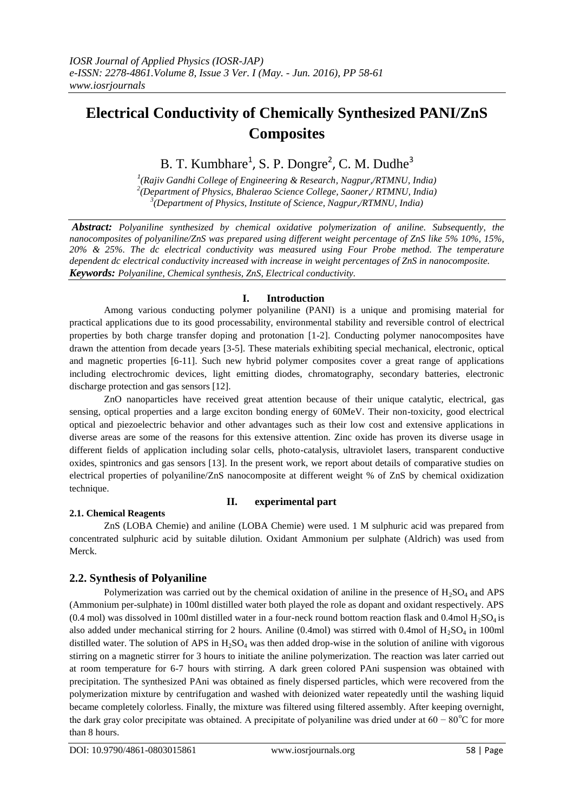# **Electrical Conductivity of Chemically Synthesized PANI/ZnS Composites**

B. T. Kumbhare<sup>1</sup>, S. P. Dongre<sup>2</sup>, C. M. Dudhe<sup>3</sup>

*1 (Rajiv Gandhi College of Engineering & Research, Nagpur,/RTMNU, India) 2 (Department of Physics, Bhalerao Science College, Saoner,/ RTMNU, India) 3 (Department of Physics, Institute of Science, Nagpur,/RTMNU, India)* 

*Abstract: Polyaniline synthesized by chemical oxidative polymerization of aniline. Subsequently, the nanocomposites of polyaniline/ZnS was prepared using different weight percentage of ZnS like 5% 10%, 15%, 20% & 25%. The dc electrical conductivity was measured using Four Probe method. The temperature dependent dc electrical conductivity increased with increase in weight percentages of ZnS in nanocomposite. Keywords: Polyaniline, Chemical synthesis, ZnS, Electrical conductivity.*

## **I. Introduction**

Among various conducting polymer polyaniline (PANI) is a unique and promising material for practical applications due to its good processability, environmental stability and reversible control of electrical properties by both charge transfer doping and protonation [1-2]. Conducting polymer nanocomposites have drawn the attention from decade years [3-5]. These materials exhibiting special mechanical, electronic, optical and magnetic properties [6-11]. Such new hybrid polymer composites cover a great range of applications including electrochromic devices, light emitting diodes, chromatography, secondary batteries, electronic discharge protection and gas sensors [12].

ZnO nanoparticles have received great attention because of their unique catalytic, electrical, gas sensing, optical properties and a large exciton bonding energy of 60MeV. Their non-toxicity, good electrical optical and piezoelectric behavior and other advantages such as their low cost and extensive applications in diverse areas are some of the reasons for this extensive attention. Zinc oxide has proven its diverse usage in different fields of application including solar cells, photo-catalysis, ultraviolet lasers, transparent conductive oxides, spintronics and gas sensors [13]. In the present work, we report about details of comparative studies on electrical properties of polyaniline/ZnS nanocomposite at different weight % of ZnS by chemical oxidization technique.

# **2.1. Chemical Reagents**

# **II. experimental part**

ZnS (LOBA Chemie) and aniline (LOBA Chemie) were used. 1 M sulphuric acid was prepared from concentrated sulphuric acid by suitable dilution. Oxidant Ammonium per sulphate (Aldrich) was used from Merck.

# **2.2. Synthesis of Polyaniline**

Polymerization was carried out by the chemical oxidation of aniline in the presence of  $H_2SO_4$  and APS (Ammonium per-sulphate) in 100ml distilled water both played the role as dopant and oxidant respectively. APS (0.4 mol) was dissolved in 100ml distilled water in a four-neck round bottom reaction flask and 0.4mol  $H_2SO_4$  is also added under mechanical stirring for 2 hours. Aniline (0.4mol) was stirred with 0.4mol of  $H_2SO_4$  in 100ml distilled water. The solution of APS in  $H_2SO_4$  was then added drop-wise in the solution of aniline with vigorous stirring on a magnetic stirrer for 3 hours to initiate the aniline polymerization. The reaction was later carried out at room temperature for 6-7 hours with stirring. A dark green colored PAni suspension was obtained with precipitation. The synthesized PAni was obtained as finely dispersed particles, which were recovered from the polymerization mixture by centrifugation and washed with deionized water repeatedly until the washing liquid became completely colorless. Finally, the mixture was filtered using filtered assembly. After keeping overnight, the dark gray color precipitate was obtained. A precipitate of polyaniline was dried under at  $60 - 80^{\circ}$ C for more than 8 hours.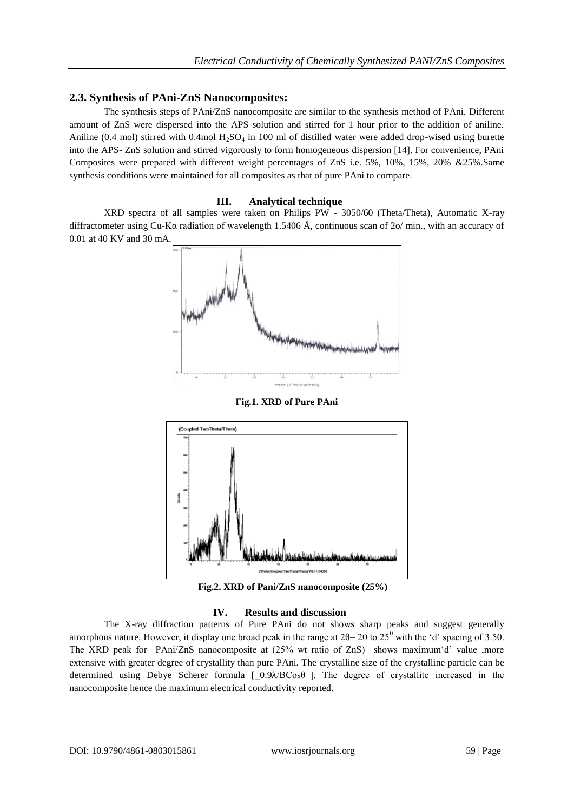# **2.3. Synthesis of PAni-ZnS Nanocomposites:**

The synthesis steps of PAni/ZnS nanocomposite are similar to the synthesis method of PAni. Different amount of ZnS were dispersed into the APS solution and stirred for 1 hour prior to the addition of aniline. Aniline (0.4 mol) stirred with 0.4mol  $H_2SO_4$  in 100 ml of distilled water were added drop-wised using burette into the APS- ZnS solution and stirred vigorously to form homogeneous dispersion [14]. For convenience, PAni Composites were prepared with different weight percentages of ZnS i.e. 5%, 10%, 15%, 20% &25%.Same synthesis conditions were maintained for all composites as that of pure PAni to compare.

## **III. Analytical technique**

XRD spectra of all samples were taken on Philips PW - 3050/60 (Theta/Theta), Automatic X-ray diffractometer using Cu-Kα radiation of wavelength 1.5406 Å, continuous scan of 2o/ min., with an accuracy of 0.01 at 40 KV and 30 mA.



**Fig.1. XRD of Pure PAni**



 **Fig.2. XRD of Pani/ZnS nanocomposite (25%)**

#### **IV. Results and discussion**

The X-ray diffraction patterns of Pure PAni do not shows sharp peaks and suggest generally amorphous nature. However, it display one broad peak in the range at  $2\theta = 20$  to  $25^{\circ}$  with the 'd' spacing of 3.50. The XRD peak for PAni/ZnS nanocomposite at (25% wt ratio of ZnS) shows maximum'd' value ,more extensive with greater degree of crystallity than pure PAni. The crystalline size of the crystalline particle can be determined using Debye Scherer formula [\_0.9 $\lambda$ BCos $\theta$ ]. The degree of crystallite increased in the nanocomposite hence the maximum electrical conductivity reported.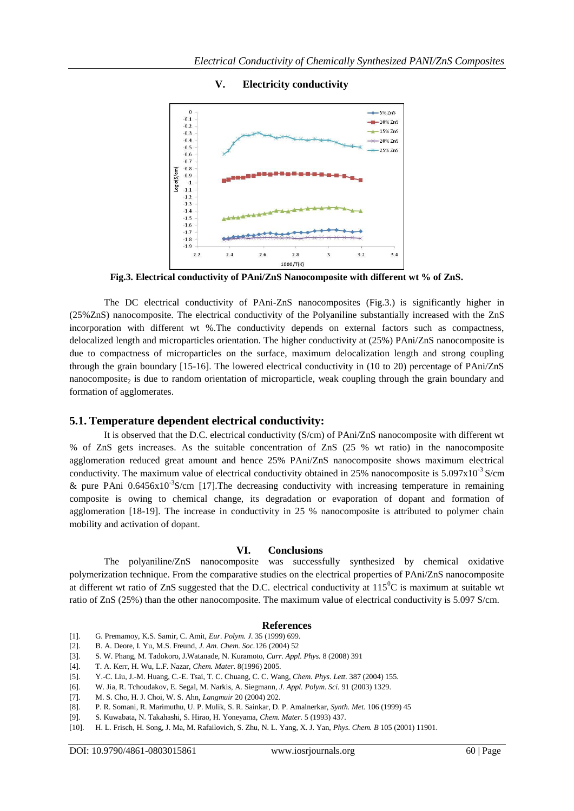

# **V. Electricity conductivity**

**Fig.3. Electrical conductivity of PAni/ZnS Nanocomposite with different wt % of ZnS.**

The DC electrical conductivity of PAni-ZnS nanocomposites (Fig.3.) is significantly higher in (25%ZnS) nanocomposite. The electrical conductivity of the Polyaniline substantially increased with the ZnS incorporation with different wt %. The conductivity depends on external factors such as compactness, delocalized length and microparticles orientation. The higher conductivity at (25%) PAni/ZnS nanocomposite is due to compactness of microparticles on the surface, maximum delocalization length and strong coupling through the grain boundary [15-16]. The lowered electrical conductivity in (10 to 20) percentage of PAni/ZnS nanocomposite<sub>2</sub> is due to random orientation of microparticle, weak coupling through the grain boundary and formation of agglomerates.

#### **5.1. Temperature dependent electrical conductivity:**

It is observed that the D.C. electrical conductivity (S/cm) of PAni/ZnS nanocomposite with different wt % of ZnS gets increases. As the suitable concentration of ZnS (25 % wt ratio) in the nanocomposite agglomeration reduced great amount and hence 25% PAni/ZnS nanocomposite shows maximum electrical conductivity. The maximum value of electrical conductivity obtained in 25% nanocomposite is  $5.097 \times 10^{-3}$  S/cm & pure PAni  $0.6456 \times 10^{-3}$ S/cm [17]. The decreasing conductivity with increasing temperature in remaining composite is owing to chemical change, its degradation or evaporation of dopant and formation of agglomeration [18-19]. The increase in conductivity in 25 % nanocomposite is attributed to polymer chain mobility and activation of dopant.

#### **VI. Conclusions**

The polyaniline/ZnS nanocomposite was successfully synthesized by chemical oxidative polymerization technique. From the comparative studies on the electrical properties of PAni/ZnS nanocomposite at different wt ratio of ZnS suggested that the D.C. electrical conductivity at  $115^{\circ}$ C is maximum at suitable wt ratio of ZnS (25%) than the other nanocomposite. The maximum value of electrical conductivity is 5.097 S/cm.

#### **References**

- [1]. G. Premamoy, K.S. Samir, C. Amit, *Eur. Polym. J.* 35 (1999) 699.
- [2]. B. A. Deore, I. Yu, M.S. Freund, *J. Am. Chem. Soc.*126 (2004) 52
- [3]. S. W. Phang, M. Tadokoro, J.Watanade, N. Kuramoto, *Curr. Appl. Phys.* 8 (2008) 391
- [4]. T. A. Kerr, H. Wu, L.F. Nazar, *Chem. Mater.* 8(1996) 2005.
- [5]. Y.-C. Liu, J.-M. Huang, C.-E. Tsai, T. C. Chuang, C. C. Wang, *Chem. Phys. Lett.* 387 (2004) 155.
- [6]. W. Jia, R. Tchoudakov, E. Segal, M. Narkis, A. Siegmann, *J. Appl. Polym. Sci.* 91 (2003) 1329.
- [7]. M. S. Cho, H. J. Choi, W. S. Ahn, *Langmuir* 20 (2004) 202.
- [8]. P. R. Somani, R. Marimuthu, U. P. Mulik, S. R. Sainkar, D. P. Amalnerkar, *Synth. Met.* 106 (1999) 45
- [9]. S. Kuwabata, N. Takahashi, S. Hirao, H. Yoneyama, *Chem. Mater.* 5 (1993) 437.
- [10]. H. L. Frisch, H. Song, J. Ma, M. Rafailovich, S. Zhu, N. L. Yang, X. J. Yan, *Phys. Chem. B* 105 (2001) 11901.